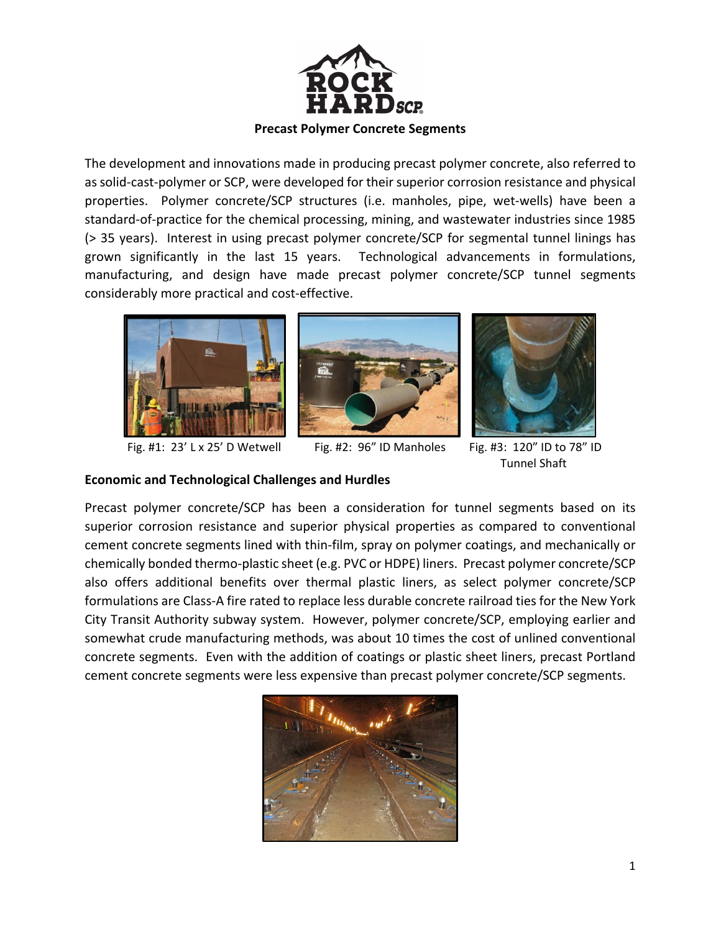

The development and innovations made in producing precast polymer concrete, also referred to assolid‐cast‐polymer or SCP, were developed for their superior corrosion resistance and physical properties. Polymer concrete/SCP structures (i.e. manholes, pipe, wet-wells) have been a standard‐of‐practice for the chemical processing, mining, and wastewater industries since 1985 (> 35 years). Interest in using precast polymer concrete/SCP for segmental tunnel linings has grown significantly in the last 15 years. Technological advancements in formulations, manufacturing, and design have made precast polymer concrete/SCP tunnel segments considerably more practical and cost‐effective.





Fig. #1: 23' L x 25' D Wetwell Fig. #2: 96" ID Manholes Fig. #3: 120" ID to 78" ID



Tunnel Shaft

# **Economic and Technological Challenges and Hurdles**

Precast polymer concrete/SCP has been a consideration for tunnel segments based on its superior corrosion resistance and superior physical properties as compared to conventional cement concrete segments lined with thin‐film, spray on polymer coatings, and mechanically or chemically bonded thermo‐plastic sheet (e.g. PVC or HDPE) liners. Precast polymer concrete/SCP also offers additional benefits over thermal plastic liners, as select polymer concrete/SCP formulations are Class‐A fire rated to replace less durable concrete railroad ties for the New York City Transit Authority subway system. However, polymer concrete/SCP, employing earlier and somewhat crude manufacturing methods, was about 10 times the cost of unlined conventional concrete segments. Even with the addition of coatings or plastic sheet liners, precast Portland cement concrete segments were less expensive than precast polymer concrete/SCP segments.

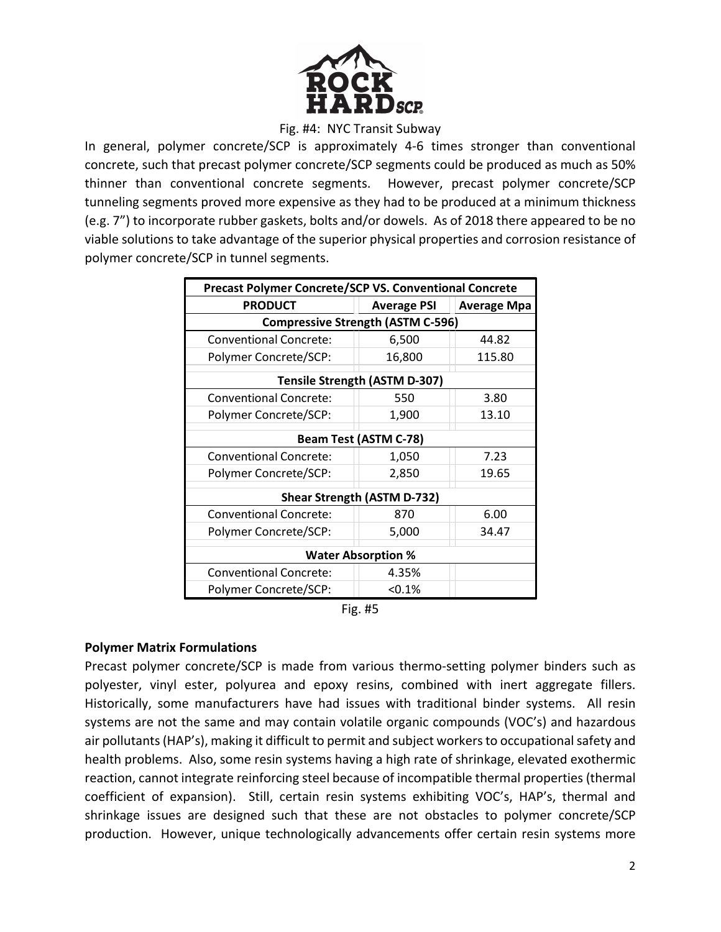

### Fig. #4: NYC Transit Subway

In general, polymer concrete/SCP is approximately 4‐6 times stronger than conventional concrete, such that precast polymer concrete/SCP segments could be produced as much as 50% thinner than conventional concrete segments. However, precast polymer concrete/SCP tunneling segments proved more expensive as they had to be produced at a minimum thickness (e.g. 7") to incorporate rubber gaskets, bolts and/or dowels. As of 2018 there appeared to be no viable solutions to take advantage of the superior physical properties and corrosion resistance of polymer concrete/SCP in tunnel segments.

| <b>Precast Polymer Concrete/SCP VS. Conventional Concrete</b> |                    |                    |
|---------------------------------------------------------------|--------------------|--------------------|
| <b>PRODUCT</b>                                                | <b>Average PSI</b> | <b>Average Mpa</b> |
| <b>Compressive Strength (ASTM C-596)</b>                      |                    |                    |
| <b>Conventional Concrete:</b>                                 | 6,500              | 44.82              |
| Polymer Concrete/SCP:                                         | 16,800             | 115.80             |
| <b>Tensile Strength (ASTM D-307)</b>                          |                    |                    |
| <b>Conventional Concrete:</b>                                 | 550                | 3.80               |
| Polymer Concrete/SCP:                                         | 1,900              | 13.10              |
| <b>Beam Test (ASTM C-78)</b>                                  |                    |                    |
| <b>Conventional Concrete:</b>                                 | 1,050              | 7.23               |
| Polymer Concrete/SCP:                                         | 2,850              | 19.65              |
| <b>Shear Strength (ASTM D-732)</b>                            |                    |                    |
| <b>Conventional Concrete:</b>                                 | 870                | 6.00               |
| Polymer Concrete/SCP:                                         | 5,000              | 34.47              |
| <b>Water Absorption %</b>                                     |                    |                    |
| <b>Conventional Concrete:</b>                                 | 4.35%              |                    |
| Polymer Concrete/SCP:                                         | < 0.1%             |                    |

## **Polymer Matrix Formulations**

Precast polymer concrete/SCP is made from various thermo-setting polymer binders such as polyester, vinyl ester, polyurea and epoxy resins, combined with inert aggregate fillers. Historically, some manufacturers have had issues with traditional binder systems. All resin systems are not the same and may contain volatile organic compounds (VOC's) and hazardous air pollutants (HAP's), making it difficult to permit and subject workers to occupational safety and health problems. Also, some resin systems having a high rate of shrinkage, elevated exothermic reaction, cannot integrate reinforcing steel because of incompatible thermal properties (thermal coefficient of expansion). Still, certain resin systems exhibiting VOC's, HAP's, thermal and shrinkage issues are designed such that these are not obstacles to polymer concrete/SCP production. However, unique technologically advancements offer certain resin systems more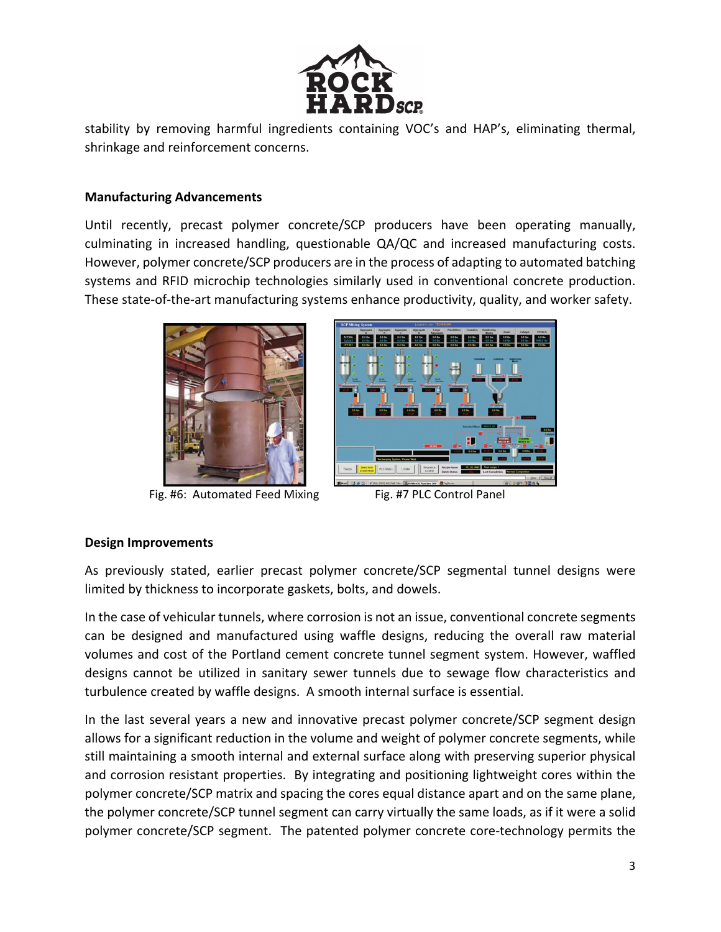

stability by removing harmful ingredients containing VOC's and HAP's, eliminating thermal, shrinkage and reinforcement concerns.

## **Manufacturing Advancements**

Until recently, precast polymer concrete/SCP producers have been operating manually, culminating in increased handling, questionable QA/QC and increased manufacturing costs. However, polymer concrete/SCP producers are in the process of adapting to automated batching systems and RFID microchip technologies similarly used in conventional concrete production. These state‐of‐the‐art manufacturing systems enhance productivity, quality, and worker safety.



Fig. #6: Automated Feed Mixing Fig. #7 PLC Control Panel



## **Design Improvements**

As previously stated, earlier precast polymer concrete/SCP segmental tunnel designs were limited by thickness to incorporate gaskets, bolts, and dowels.

In the case of vehicular tunnels, where corrosion is not an issue, conventional concrete segments can be designed and manufactured using waffle designs, reducing the overall raw material volumes and cost of the Portland cement concrete tunnel segment system. However, waffled designs cannot be utilized in sanitary sewer tunnels due to sewage flow characteristics and turbulence created by waffle designs. A smooth internal surface is essential.

In the last several years a new and innovative precast polymer concrete/SCP segment design allows for a significant reduction in the volume and weight of polymer concrete segments, while still maintaining a smooth internal and external surface along with preserving superior physical and corrosion resistant properties. By integrating and positioning lightweight cores within the polymer concrete/SCP matrix and spacing the cores equal distance apart and on the same plane, the polymer concrete/SCP tunnel segment can carry virtually the same loads, as if it were a solid polymer concrete/SCP segment. The patented polymer concrete core-technology permits the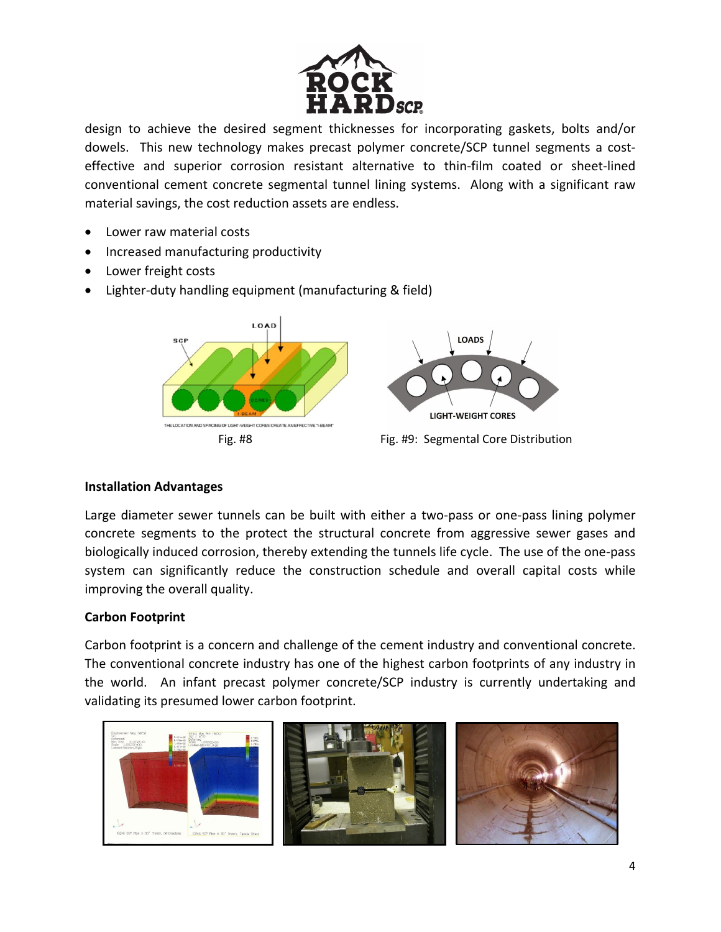

design to achieve the desired segment thicknesses for incorporating gaskets, bolts and/or dowels. This new technology makes precast polymer concrete/SCP tunnel segments a costeffective and superior corrosion resistant alternative to thin‐film coated or sheet‐lined conventional cement concrete segmental tunnel lining systems. Along with a significant raw material savings, the cost reduction assets are endless.

- Lower raw material costs
- Increased manufacturing productivity
- Lower freight costs
- Lighter-duty handling equipment (manufacturing & field)



## **Installation Advantages**

Large diameter sewer tunnels can be built with either a two-pass or one-pass lining polymer concrete segments to the protect the structural concrete from aggressive sewer gases and biologically induced corrosion, thereby extending the tunnels life cycle. The use of the one‐pass system can significantly reduce the construction schedule and overall capital costs while improving the overall quality.

## **Carbon Footprint**

Carbon footprint is a concern and challenge of the cement industry and conventional concrete. The conventional concrete industry has one of the highest carbon footprints of any industry in the world. An infant precast polymer concrete/SCP industry is currently undertaking and validating its presumed lower carbon footprint.